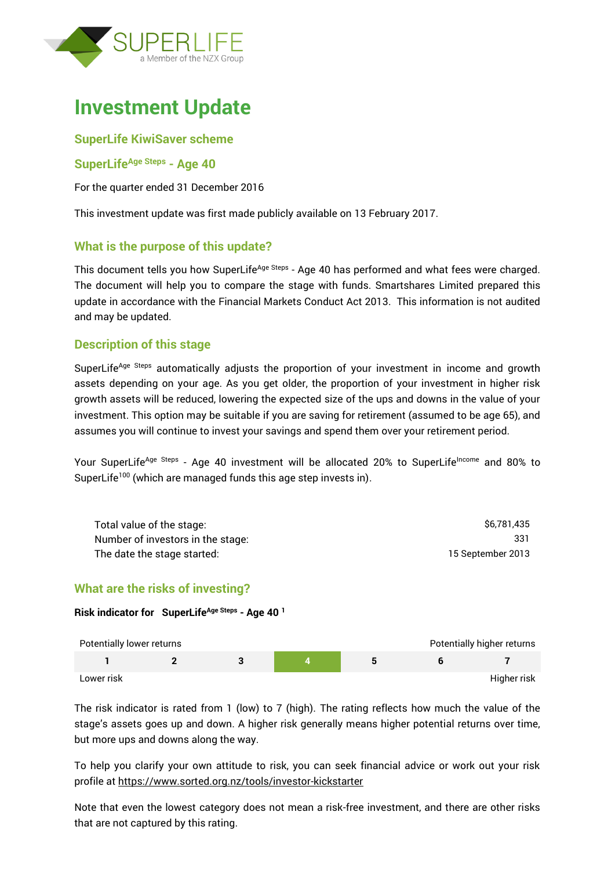

# **Investment Update**

#### **SuperLife KiwiSaver scheme**

#### **SuperLifeAge Steps - Age 40**

For the quarter ended 31 December 2016

This investment update was first made publicly available on 13 February 2017.

# **What is the purpose of this update?**

This document tells you how SuperLife<sup>Age Steps</sup> - Age 40 has performed and what fees were charged. The document will help you to compare the stage with funds. Smartshares Limited prepared this update in accordance with the Financial Markets Conduct Act 2013. This information is not audited and may be updated.

# **Description of this stage**

SuperLife<sup>Age Steps</sup> automatically adjusts the proportion of your investment in income and growth assets depending on your age. As you get older, the proportion of your investment in higher risk growth assets will be reduced, lowering the expected size of the ups and downs in the value of your investment. This option may be suitable if you are saving for retirement (assumed to be age 65), and assumes you will continue to invest your savings and spend them over your retirement period.

Your SuperLife<sup>Age Steps</sup> - Age 40 investment will be allocated 20% to SuperLife<sup>Income</sup> and 80% to SuperLife<sup>100</sup> (which are managed funds this age step invests in).

| Total value of the stage:         | \$6.781.435       |
|-----------------------------------|-------------------|
| Number of investors in the stage: | 331               |
| The date the stage started:       | 15 September 2013 |

# **What are the risks of investing?**

#### **Risk indicator for SuperLifeAge Steps - Age 40 <sup>1</sup>**

| Potentially lower returns |  |  | Potentially higher returns |
|---------------------------|--|--|----------------------------|
|                           |  |  |                            |
| Lower risk                |  |  | Higher risk                |

The risk indicator is rated from 1 (low) to 7 (high). The rating reflects how much the value of the stage's assets goes up and down. A higher risk generally means higher potential returns over time, but more ups and downs along the way.

To help you clarify your own attitude to risk, you can seek financial advice or work out your risk profile at<https://www.sorted.org.nz/tools/investor-kickstarter>

Note that even the lowest category does not mean a risk-free investment, and there are other risks that are not captured by this rating.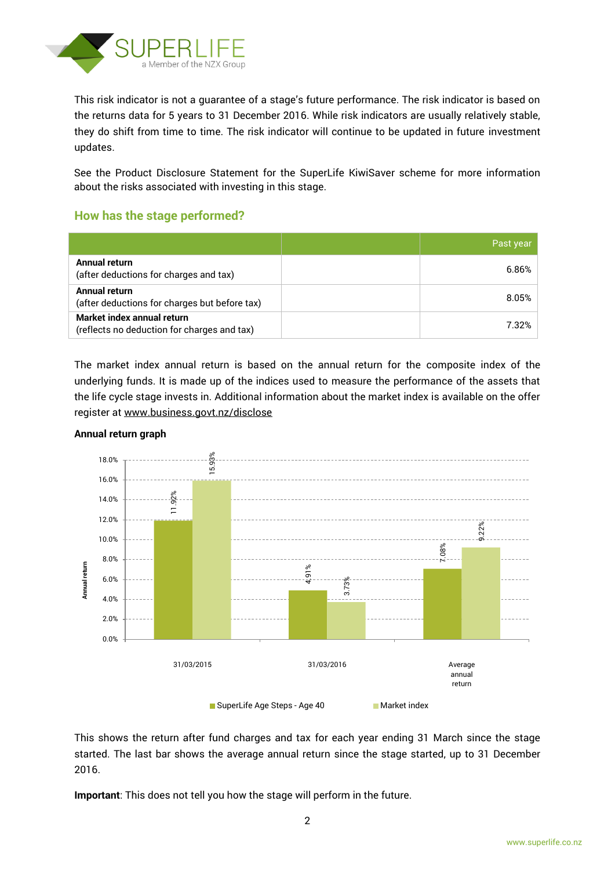

This risk indicator is not a guarantee of a stage's future performance. The risk indicator is based on the returns data for 5 years to 31 December 2016. While risk indicators are usually relatively stable, they do shift from time to time. The risk indicator will continue to be updated in future investment updates.

See the Product Disclosure Statement for the SuperLife KiwiSaver scheme for more information about the risks associated with investing in this stage.

# **How has the stage performed?**

|                                                                           | Past year |
|---------------------------------------------------------------------------|-----------|
| Annual return<br>(after deductions for charges and tax)                   | 6.86%     |
| Annual return<br>(after deductions for charges but before tax)            | 8.05%     |
| Market index annual return<br>(reflects no deduction for charges and tax) | 7.32%     |

The market index annual return is based on the annual return for the composite index of the underlying funds. It is made up of the indices used to measure the performance of the assets that the life cycle stage invests in. Additional information about the market index is available on the offer register at [www.business.govt.nz/disclose](http://www.business.govt.nz/disclose)



#### **Annual return graph**

This shows the return after fund charges and tax for each year ending 31 March since the stage started. The last bar shows the average annual return since the stage started, up to 31 December 2016.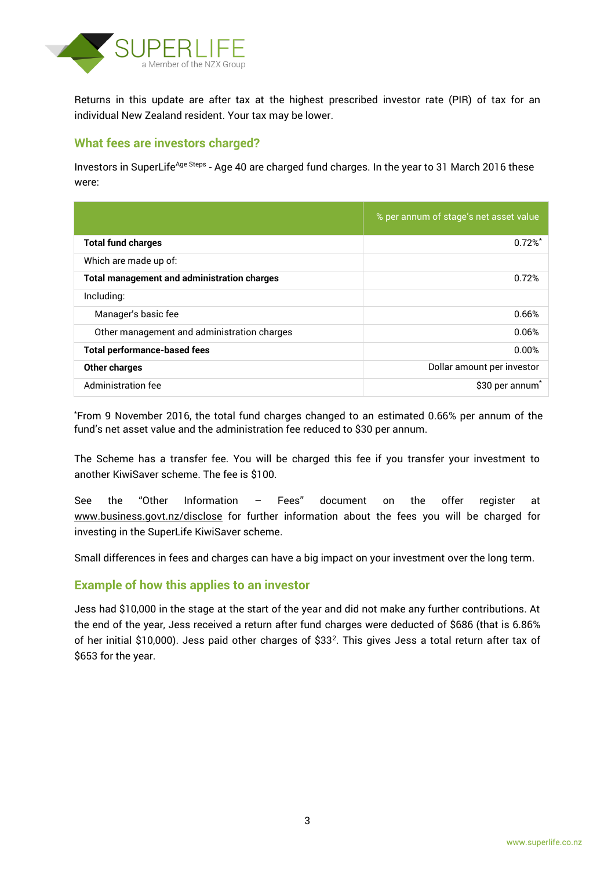

Returns in this update are after tax at the highest prescribed investor rate (PIR) of tax for an individual New Zealand resident. Your tax may be lower.

# **What fees are investors charged?**

Investors in SuperLife<sup>Age Steps</sup> - Age 40 are charged fund charges. In the year to 31 March 2016 these were:

|                                                    | % per annum of stage's net asset value |
|----------------------------------------------------|----------------------------------------|
| <b>Total fund charges</b>                          | 0.72%                                  |
| Which are made up of:                              |                                        |
| <b>Total management and administration charges</b> | 0.72%                                  |
| Including:                                         |                                        |
| Manager's basic fee                                | 0.66%                                  |
| Other management and administration charges        | 0.06%                                  |
| <b>Total performance-based fees</b>                | 0.00%                                  |
| <b>Other charges</b>                               | Dollar amount per investor             |
| <b>Administration fee</b>                          | \$30 per annum <sup>*</sup>            |

\*From 9 November 2016, the total fund charges changed to an estimated 0.66% per annum of the fund's net asset value and the administration fee reduced to \$30 per annum.

The Scheme has a transfer fee. You will be charged this fee if you transfer your investment to another KiwiSaver scheme. The fee is \$100.

See the "Other Information – Fees" document on the offer register at www.business.govt.nz/disclose for further information about the fees you will be charged for investing in the SuperLife KiwiSaver scheme.

Small differences in fees and charges can have a big impact on your investment over the long term.

# **Example of how this applies to an investor**

Jess had \$10,000 in the stage at the start of the year and did not make any further contributions. At the end of the year, Jess received a return after fund charges were deducted of \$686 (that is 6.86% of her initial \$10,000). Jess paid other charges of \$33<sup>2</sup> . This gives Jess a total return after tax of \$653 for the year.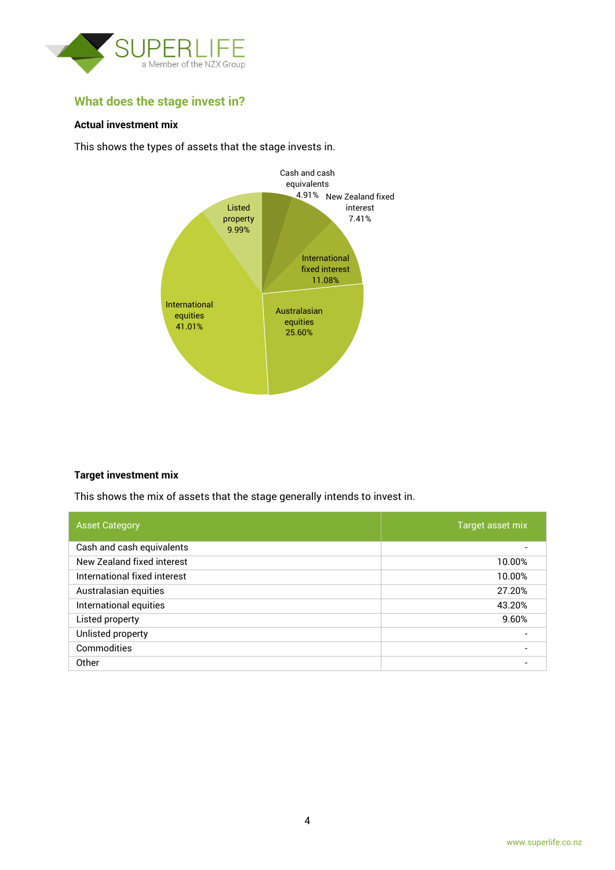

# **What does the stage invest in?**

#### **Actual investment mix**

This shows the types of assets that the stage invests in.



#### **Target investment mix**

This shows the mix of assets that the stage generally intends to invest in.

| <b>Asset Category</b>        | Target asset mix         |
|------------------------------|--------------------------|
| Cash and cash equivalents    |                          |
| New Zealand fixed interest   | 10.00%                   |
| International fixed interest | 10.00%                   |
| Australasian equities        | 27.20%                   |
| International equities       | 43.20%                   |
| Listed property              | 9.60%                    |
| Unlisted property            | $\overline{\phantom{0}}$ |
| Commodities                  | $\overline{\phantom{0}}$ |
| Other                        |                          |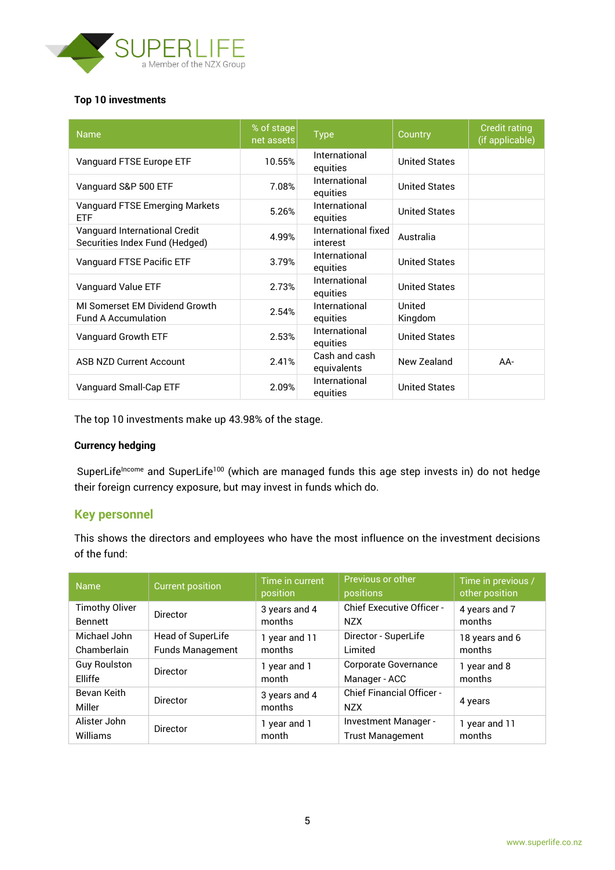

#### **Top 10 investments**

| <b>Name</b>                                                     | % of stage<br>net assets | <b>Type</b>                     | Country              | <b>Credit rating</b><br>(if applicable) |
|-----------------------------------------------------------------|--------------------------|---------------------------------|----------------------|-----------------------------------------|
| Vanguard FTSE Europe ETF                                        | 10.55%                   | International<br>equities       | <b>United States</b> |                                         |
| Vanguard S&P 500 ETF                                            | 7.08%                    | International<br>equities       | <b>United States</b> |                                         |
| Vanguard FTSE Emerging Markets<br><b>ETF</b>                    | 5.26%                    | International<br>equities       | <b>United States</b> |                                         |
| Vanguard International Credit<br>Securities Index Fund (Hedged) | 4.99%                    | International fixed<br>interest | Australia            |                                         |
| Vanguard FTSE Pacific ETF                                       | 3.79%                    | International<br>equities       | <b>United States</b> |                                         |
| Vanguard Value ETF                                              | 2.73%                    | International<br>equities       | <b>United States</b> |                                         |
| MI Somerset EM Dividend Growth<br><b>Fund A Accumulation</b>    | 2.54%                    | International<br>equities       | United<br>Kingdom    |                                         |
| Vanguard Growth ETF                                             | 2.53%                    | International<br>equities       | <b>United States</b> |                                         |
| <b>ASB NZD Current Account</b>                                  | 2.41%                    | Cash and cash<br>equivalents    | New Zealand          | AA-                                     |
| Vanguard Small-Cap ETF                                          | 2.09%                    | International<br>equities       | <b>United States</b> |                                         |

The top 10 investments make up 43.98% of the stage.

#### **Currency hedging**

SuperLife<sup>Income</sup> and SuperLife<sup>100</sup> (which are managed funds this age step invests in) do not hedge their foreign currency exposure, but may invest in funds which do.

#### **Key personnel**

This shows the directors and employees who have the most influence on the investment decisions of the fund:

| <b>Name</b>           | <b>Current position</b> | Time in current<br>position | Previous or other<br>positions                 | Time in previous /<br>other position |
|-----------------------|-------------------------|-----------------------------|------------------------------------------------|--------------------------------------|
| <b>Timothy Oliver</b> | <b>Director</b>         | 3 years and 4               | <b>Chief Executive Officer -</b>               | 4 years and 7                        |
| <b>Bennett</b>        |                         | months                      | <b>NZX</b>                                     | months                               |
| Michael John          | Head of SuperLife       | 1 year and 11               | Director - SuperLife                           | 18 years and 6                       |
| Chamberlain           | <b>Funds Management</b> | months                      | Limited                                        | months                               |
| <b>Guy Roulston</b>   | <b>Director</b>         | 1 year and 1                | <b>Corporate Governance</b>                    | 1 year and 8                         |
| Elliffe               |                         | month                       | Manager - ACC                                  | months                               |
| Bevan Keith<br>Miller | <b>Director</b>         | 3 years and 4<br>months     | <b>Chief Financial Officer -</b><br><b>NZX</b> | 4 years                              |
| Alister John          | <b>Director</b>         | 1 year and 1                | Investment Manager -                           | 1 year and 11                        |
| Williams              |                         | month                       | <b>Trust Management</b>                        | months                               |